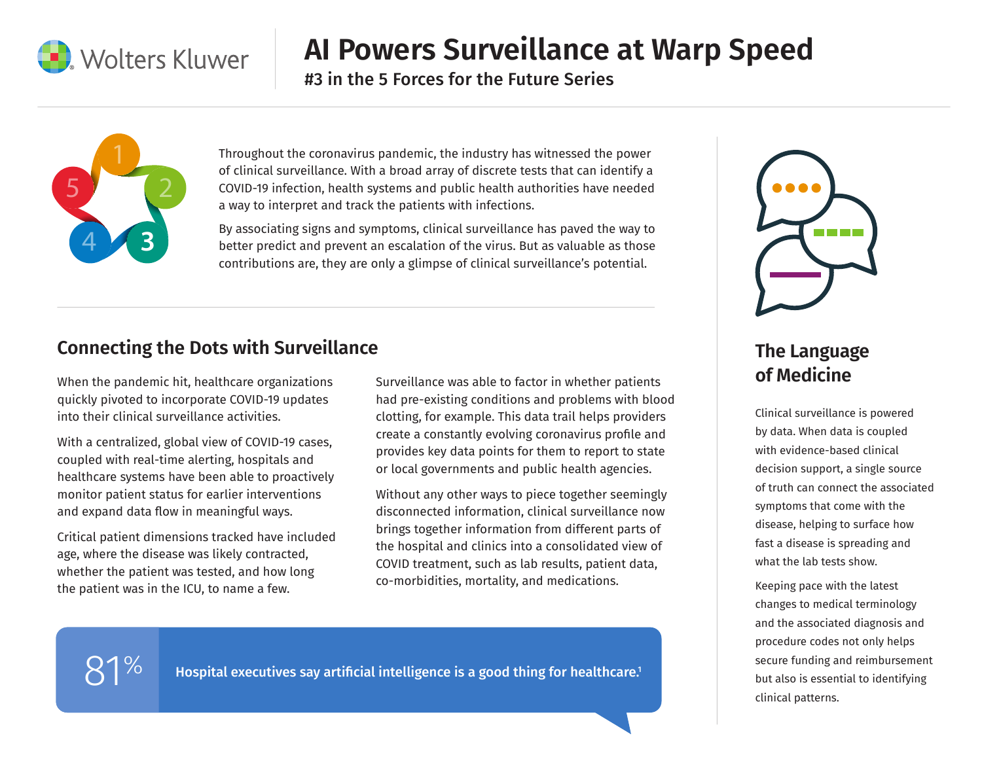

# **AI Powers Surveillance at Warp Speed**

#3 in the 5 Forces for the Future Series



1<br>1<br>1

Throughout the coronavirus pandemic, the industry has witnessed the power of clinical surveillance. With a broad array of discrete tests that can identify a COVID-19 infection, health systems and public health authorities have needed a way to interpret and track the patients with infections.

By associating signs and symptoms, clinical surveillance has paved the way to better predict and prevent an escalation of the virus. But as valuable as those contributions are, they are only a glimpse of clinical surveillance's potential.

# **Connecting the Dots with Surveillance**

quickly pivoted to incorporate COVID-19 updates When the pandemic hit, healthcare organizations into their clinical surveillance activities.

With a centralized, global view of COVID-19 cases, coupled with real-time alerting, hospitals and healthcare systems have been able to proactively monitor patient status for earlier interventions and expand data flow in meaningful ways.

Critical patient dimensions tracked have included age, where the disease was likely contracted, whether the patient was tested, and how long the patient was in the ICU, to name a few.

Surveillance was able to factor in whether patients had pre-existing conditions and problems with blood clotting, for example. This data trail helps providers create a constantly evolving coronavirus profile and provides key data points for them to report to state or local governments and public health agencies.

Without any other ways to piece together seemingly disconnected information, clinical surveillance now brings together information from different parts of the hospital and clinics into a consolidated view of COVID treatment, such as lab results, patient data, co-morbidities, mortality, and medications.



## **The Language of Medicine**

Clinical surveillance is powered by data. When data is coupled with evidence-based clinical decision support, a single source of truth can connect the associated symptoms that come with the disease, helping to surface how fast a disease is spreading and what the lab tests show.

Keeping pace with the latest changes to medical terminology and the associated diagnosis and procedure codes not only helps secure funding and reimbursement but also is essential to identifying clinical patterns.

 $\mathsf{R1\%}\quad$  Hospital executives say artificial intelligence is a good thing for healthcare. $^{\mathrm{1}}$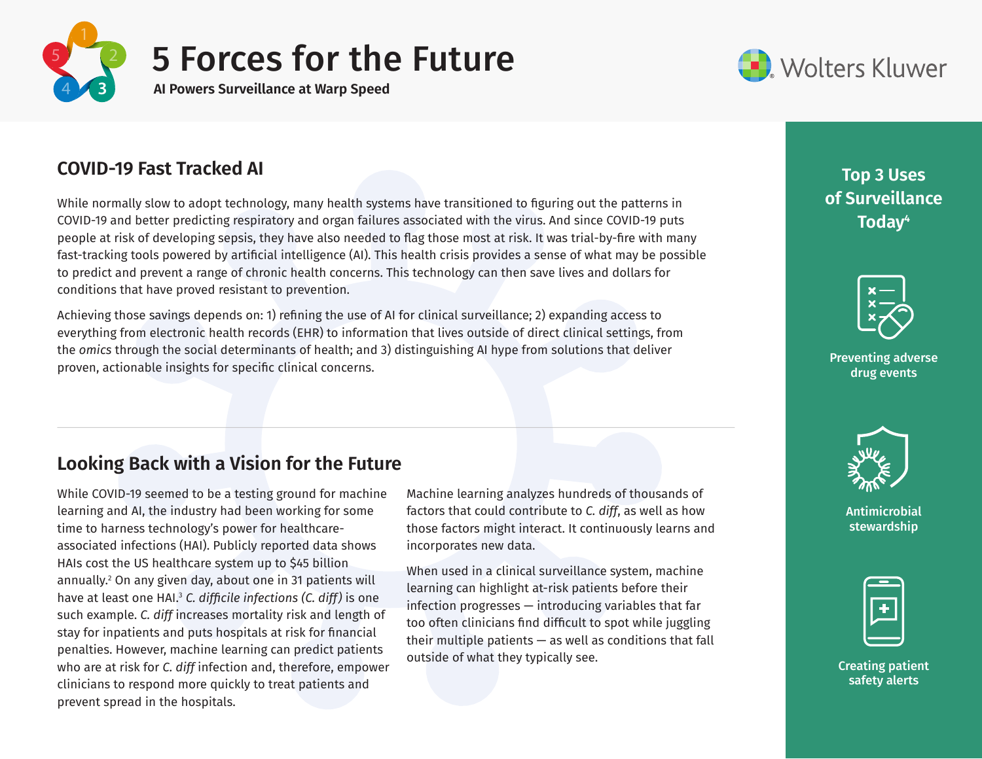



#### **2** 2 2 5 **COVID-19 Fast Tracked AI**

3 **4** While normally slow to adopt technology, many health systems have transitioned to figuring out the patterns in COVID-19 and better predicting respiratory and organ failures associated with the virus. And since COVID-19 puts people at risk of developing sepsis, they have also needed to flag those most at risk. It was trial-by-fire with many fast-tracking tools powered by artificial intelligence (AI). This health crisis provides a sense of what may be possible to predict and prevent a range of chronic health concerns. This technology can then save lives and dollars for conditions that have proved resistant to prevention.

Achieving those savings depends on: 1) refining the use of AI for clinical surveillance; 2) expanding access to everything from electronic health records (EHR) to information that lives outside of direct clinical settings, from the *omics* through the social determinants of health; and 3) distinguishing AI hype from solutions that deliver proven, actionable insights for specific clinical concerns.

### **Looking Back with a Vision for the Future**

While COVID-19 seemed to be a testing ground for machine learning and AI, the industry had been working for some time to harness technology's power for healthcareassociated infections (HAI). Publicly reported data shows HAIs cost the US healthcare system up to \$45 billion annually.2 On any given day, about one in 31 patients will have at least one HAI.3 *C. difficile infections (C. diff)* is one such example. *C. diff* increases mortality risk and length of stay for inpatients and puts hospitals at risk for financial penalties. However, machine learning can predict patients who are at risk for *C. diff* infection and, therefore, empower clinicians to respond more quickly to treat patients and prevent spread in the hospitals.

Machine learning analyzes hundreds of thousands of factors that could contribute to *C. diff*, as well as how those factors might interact. It continuously learns and incorporates new data.

When used in a clinical surveillance system, machine learning can highlight at-risk patients before their infection progresses — introducing variables that far too often clinicians find difficult to spot while juggling their multiple patients  $-$  as well as conditions that fall outside of what they typically see.

**Top 3 Uses of Surveillance Today4**



Preventing adverse drug events



Antimicrobial stewardship



Creating patient safety alerts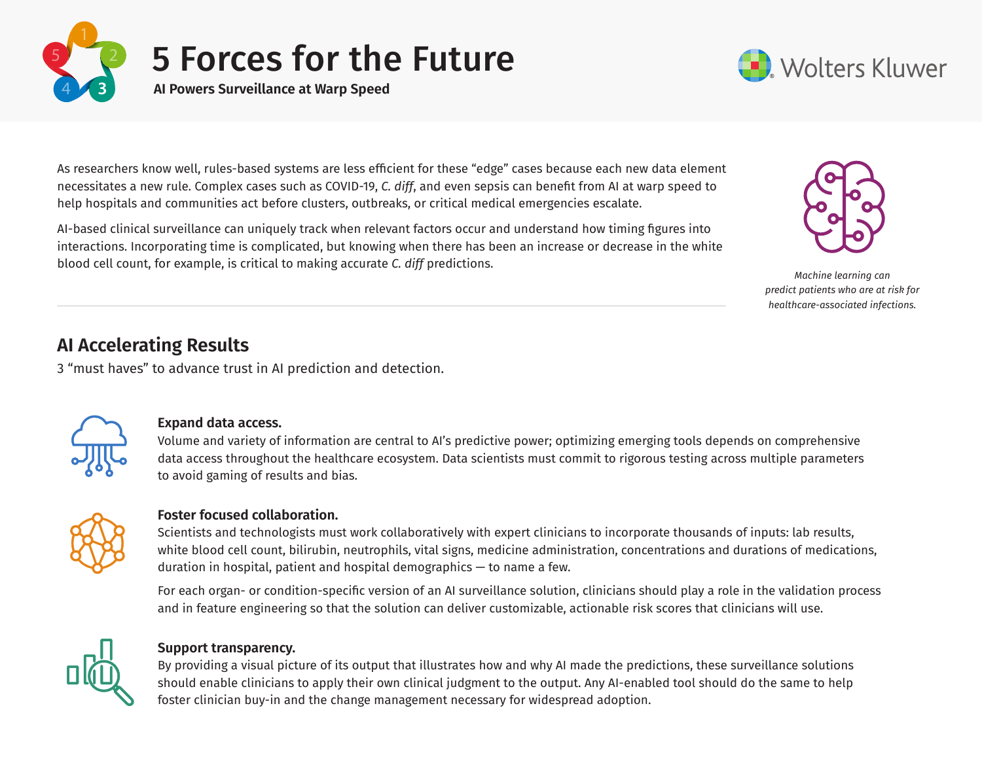



3 **4** necessitates a new rule. Complex cases such as COVID-19, *C. diff*, and even sepsis can benefit from AI at warp speed to As researchers know well, rules-based systems are less efficient for these "edge" cases because each new data element help hospitals and communities act before clusters, outbreaks, or critical medical emergencies escalate.

AI-based clinical surveillance can uniquely track when relevant factors occur and understand how timing figures into interactions. Incorporating time is complicated, but knowing when there has been an increase or decrease in the white blood cell count, for example, is critical to making accurate *C. diff* predictions.



*Machine learning can predict patients who are at risk for healthcare-associated infections.*

### **AI Accelerating Results**

3 "must haves" to advance trust in AI prediction and detection.



#### **Expand data access.**

Volume and variety of information are central to AI's predictive power; optimizing emerging tools depends on comprehensive data access throughout the healthcare ecosystem. Data scientists must commit to rigorous testing across multiple parameters to avoid gaming of results and bias.



#### **Foster focused collaboration.**

Scientists and technologists must work collaboratively with expert clinicians to incorporate thousands of inputs: lab results, white blood cell count, bilirubin, neutrophils, vital signs, medicine administration, concentrations and durations of medications, duration in hospital, patient and hospital demographics  $-$  to name a few.

For each organ- or condition-specific version of an AI surveillance solution, clinicians should play a role in the validation process and in feature engineering so that the solution can deliver customizable, actionable risk scores that clinicians will use.



#### **Support transparency.**

By providing a visual picture of its output that illustrates how and why AI made the predictions, these surveillance solutions should enable clinicians to apply their own clinical judgment to the output. Any AI-enabled tool should do the same to help foster clinician buy-in and the change management necessary for widespread adoption.